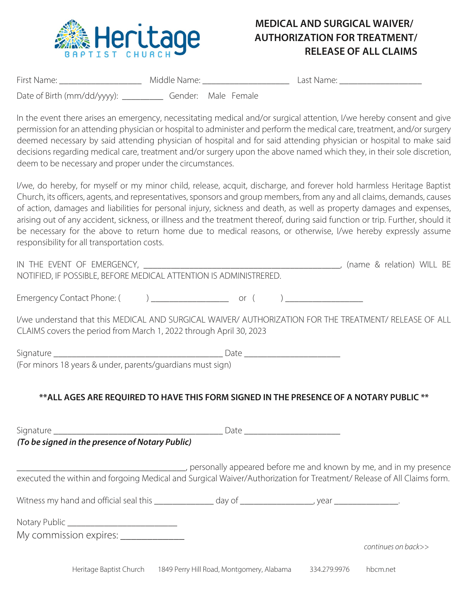

## **MEDICAL AND SURGICAL WAIVER/ AUTHORIZATION FOR TREATMENT/ RELEASE OF ALL CLAIMS**

| First Name:                 | Middle Name: |                     | Last Name: |  |
|-----------------------------|--------------|---------------------|------------|--|
| Date of Birth (mm/dd/yyyy): |              | Gender: Male Female |            |  |

In the event there arises an emergency, necessitating medical and/or surgical attention, I/we hereby consent and give permission for an attending physician or hospital to administer and perform the medical care, treatment, and/or surgery deemed necessary by said attending physician of hospital and for said attending physician or hospital to make said decisions regarding medical care, treatment and/or surgery upon the above named which they, in their sole discretion, deem to be necessary and proper under the circumstances.

I/we, do hereby, for myself or my minor child, release, acquit, discharge, and forever hold harmless Heritage Baptist Church, its officers, agents, and representatives, sponsors and group members, from any and all claims, demands, causes of action, damages and liabilities for personal injury, sickness and death, as well as property damages and expenses, arising out of any accident, sickness, or illness and the treatment thereof, during said function or trip. Further, should it be necessary for the above to return home due to medical reasons, or otherwise, I/we hereby expressly assume responsibility for all transportation costs.

| NOTIFIED, IF POSSIBLE, BEFORE MEDICAL ATTENTION IS ADMINISTRERED.                                                                                                                                                                 |                                                                                                        |
|-----------------------------------------------------------------------------------------------------------------------------------------------------------------------------------------------------------------------------------|--------------------------------------------------------------------------------------------------------|
|                                                                                                                                                                                                                                   | I/we understand that this MEDICAL AND SURGICAL WAIVER/ AUTHORIZATION FOR THE TREATMENT/ RELEASE OF ALL |
| CLAIMS covers the period from March 1, 2022 through April 30, 2023                                                                                                                                                                |                                                                                                        |
|                                                                                                                                                                                                                                   |                                                                                                        |
|                                                                                                                                                                                                                                   |                                                                                                        |
| (For minors 18 years & under, parents/quardians must sign)                                                                                                                                                                        |                                                                                                        |
|                                                                                                                                                                                                                                   |                                                                                                        |
|                                                                                                                                                                                                                                   | **ALL AGES ARE REQUIRED TO HAVE THIS FORM SIGNED IN THE PRESENCE OF A NOTARY PUBLIC **                 |
|                                                                                                                                                                                                                                   |                                                                                                        |
|                                                                                                                                                                                                                                   |                                                                                                        |
| $\mathbf{r}$ , and the contract of the contract of the contract of the contract of the contract of the contract of the contract of the contract of the contract of the contract of the contract of the contract of the contract o |                                                                                                        |

*(To be signed in the presence of Notary Public)*

\_\_\_\_\_\_\_\_\_\_\_\_\_\_\_\_\_\_\_\_\_\_\_\_\_\_\_\_\_\_\_\_\_\_\_\_\_, personally appeared before me and known by me, and in my presence executed the within and forgoing Medical and Surgical Waiver/Authorization for Treatment/ Release of All Claims form.

| Witness my hand and official seal this | dav of | vear |  |
|----------------------------------------|--------|------|--|
| Notary Public _                        |        |      |  |
| My commission expires:                 |        |      |  |